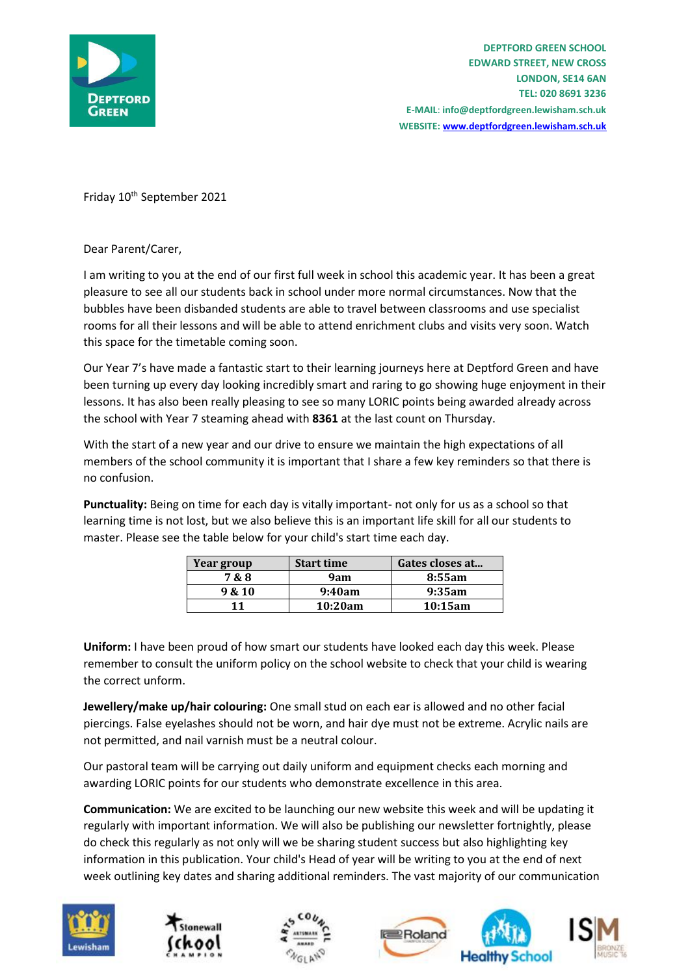

Friday 10<sup>th</sup> September 2021

Dear Parent/Carer,

I am writing to you at the end of our first full week in school this academic year. It has been a great pleasure to see all our students back in school under more normal circumstances. Now that the bubbles have been disbanded students are able to travel between classrooms and use specialist rooms for all their lessons and will be able to attend enrichment clubs and visits very soon. Watch this space for the timetable coming soon.

Our Year 7's have made a fantastic start to their learning journeys here at Deptford Green and have been turning up every day looking incredibly smart and raring to go showing huge enjoyment in their lessons. It has also been really pleasing to see so many LORIC points being awarded already across the school with Year 7 steaming ahead with **8361** at the last count on Thursday.

With the start of a new year and our drive to ensure we maintain the high expectations of all members of the school community it is important that I share a few key reminders so that there is no confusion.

**Punctuality:** Being on time for each day is vitally important- not only for us as a school so that learning time is not lost, but we also believe this is an important life skill for all our students to master. Please see the table below for your child's start time each day.

| Year group | <b>Start time</b> | Gates closes at |
|------------|-------------------|-----------------|
| 7&8        | 9am               | 8:55am          |
| 9 & 10     | 9:40am            | 9:35am          |
| 11         | 10:20am           | 10:15am         |

**Uniform:** I have been proud of how smart our students have looked each day this week. Please remember to consult the uniform policy on the school website to check that your child is wearing the correct unform.

**Jewellery/make up/hair colouring:** One small stud on each ear is allowed and no other facial piercings. False eyelashes should not be worn, and hair dye must not be extreme. Acrylic nails are not permitted, and nail varnish must be a neutral colour.

Our pastoral team will be carrying out daily uniform and equipment checks each morning and awarding LORIC points for our students who demonstrate excellence in this area.

**Communication:** We are excited to be launching our new website this week and will be updating it regularly with important information. We will also be publishing our newsletter fortnightly, please do check this regularly as not only will we be sharing student success but also highlighting key information in this publication. Your child's Head of year will be writing to you at the end of next week outlining key dates and sharing additional reminders. The vast majority of our communication